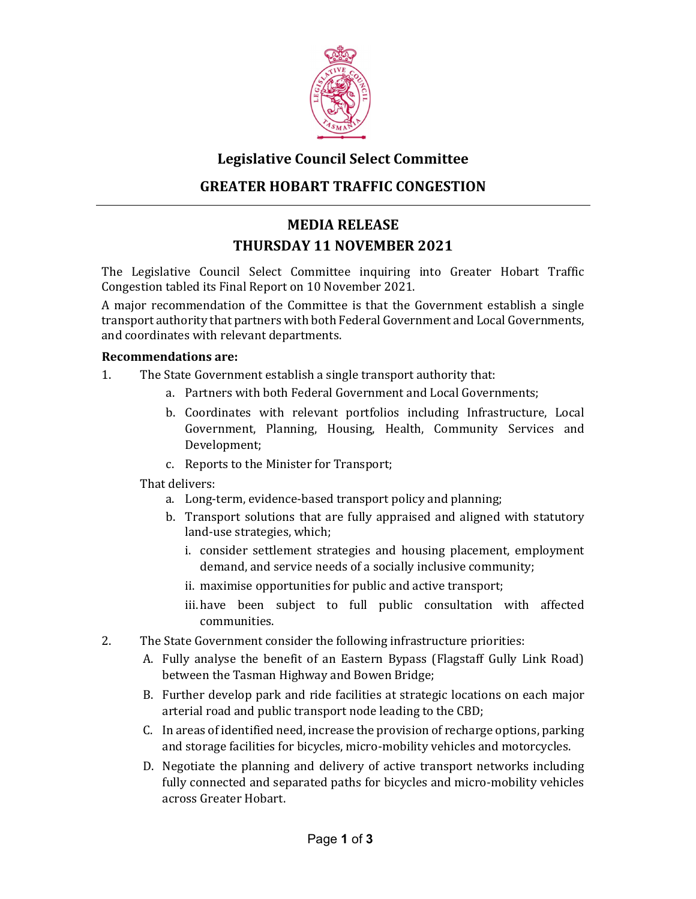

# **Legislative Council Select Committee GREATER HOBART TRAFFIC CONGESTION**

## **MEDIA RELEASE THURSDAY 11 NOVEMBER 2021**

The Legislative Council Select Committee inquiring into Greater Hobart Traffic Congestion tabled its Final Report on 10 November 2021.

A major recommendation of the Committee is that the Government establish a single transport authority that partners with both Federal Government and Local Governments, and coordinates with relevant departments.

#### **Recommendations are:**

- 1. The State Government establish a single transport authority that:
	- a. Partners with both Federal Government and Local Governments;
	- b. Coordinates with relevant portfolios including Infrastructure, Local Government, Planning, Housing, Health, Community Services and Development;
	- c. Reports to the Minister for Transport;

That delivers:

- a. Long-term, evidence-based transport policy and planning;
- b. Transport solutions that are fully appraised and aligned with statutory land-use strategies, which;
	- i. consider settlement strategies and housing placement, employment demand, and service needs of a socially inclusive community;
	- ii. maximise opportunities for public and active transport;
	- iii. have been subject to full public consultation with affected communities.
- 2. The State Government consider the following infrastructure priorities:
	- A. Fully analyse the benefit of an Eastern Bypass (Flagstaff Gully Link Road) between the Tasman Highway and Bowen Bridge;
	- B. Further develop park and ride facilities at strategic locations on each major arterial road and public transport node leading to the CBD;
	- C. In areas of identified need, increase the provision of recharge options, parking and storage facilities for bicycles, micro-mobility vehicles and motorcycles.
	- D. Negotiate the planning and delivery of active transport networks including fully connected and separated paths for bicycles and micro-mobility vehicles across Greater Hobart.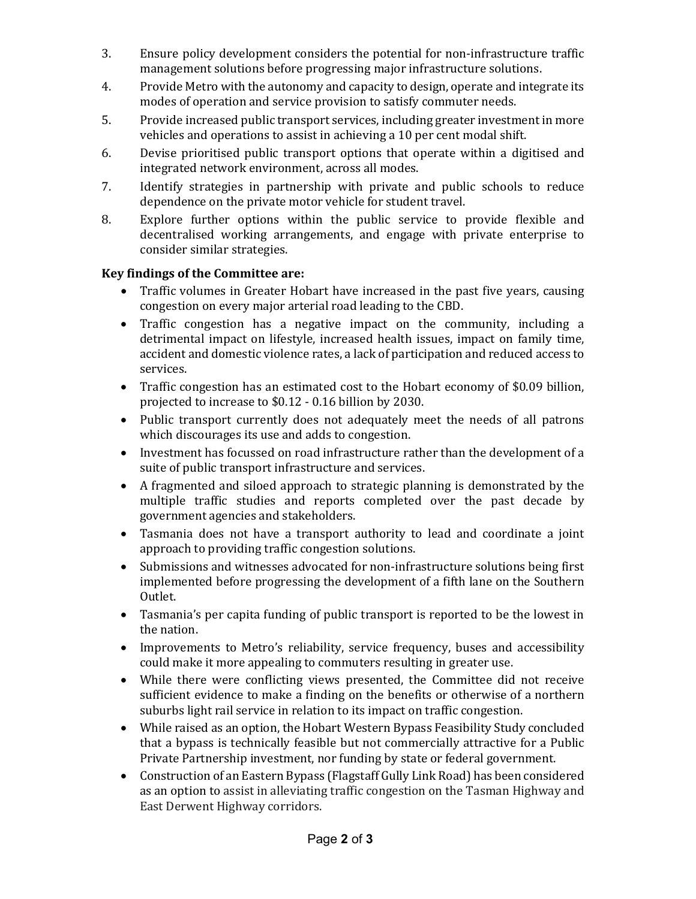- 3. Ensure policy development considers the potential for non-infrastructure traffic management solutions before progressing major infrastructure solutions.
- 4. Provide Metro with the autonomy and capacity to design, operate and integrate its modes of operation and service provision to satisfy commuter needs.
- 5. Provide increased public transport services, including greater investment in more vehicles and operations to assist in achieving a 10 per cent modal shift.
- 6. Devise prioritised public transport options that operate within a digitised and integrated network environment, across all modes.
- 7. Identify strategies in partnership with private and public schools to reduce dependence on the private motor vehicle for student travel.
- 8. Explore further options within the public service to provide flexible and decentralised working arrangements, and engage with private enterprise to consider similar strategies.

#### **Key findings of the Committee are:**

- Traffic volumes in Greater Hobart have increased in the past five years, causing congestion on every major arterial road leading to the CBD.
- Traffic congestion has a negative impact on the community, including a detrimental impact on lifestyle, increased health issues, impact on family time, accident and domestic violence rates, a lack of participation and reduced access to services.
- Traffic congestion has an estimated cost to the Hobart economy of \$0.09 billion, projected to increase to \$0.12 - 0.16 billion by 2030.
- Public transport currently does not adequately meet the needs of all patrons which discourages its use and adds to congestion.
- Investment has focussed on road infrastructure rather than the development of a suite of public transport infrastructure and services.
- A fragmented and siloed approach to strategic planning is demonstrated by the multiple traffic studies and reports completed over the past decade by government agencies and stakeholders.
- Tasmania does not have a transport authority to lead and coordinate a joint approach to providing traffic congestion solutions.
- Submissions and witnesses advocated for non-infrastructure solutions being first implemented before progressing the development of a fifth lane on the Southern Outlet.
- Tasmania's per capita funding of public transport is reported to be the lowest in the nation.
- Improvements to Metro's reliability, service frequency, buses and accessibility could make it more appealing to commuters resulting in greater use.
- While there were conflicting views presented, the Committee did not receive sufficient evidence to make a finding on the benefits or otherwise of a northern suburbs light rail service in relation to its impact on traffic congestion.
- While raised as an option, the Hobart Western Bypass Feasibility Study concluded that a bypass is technically feasible but not commercially attractive for a Public Private Partnership investment, nor funding by state or federal government.
- Construction of an Eastern Bypass (Flagstaff Gully Link Road) has been considered as an option to assist in alleviating traffic congestion on the Tasman Highway and East Derwent Highway corridors.